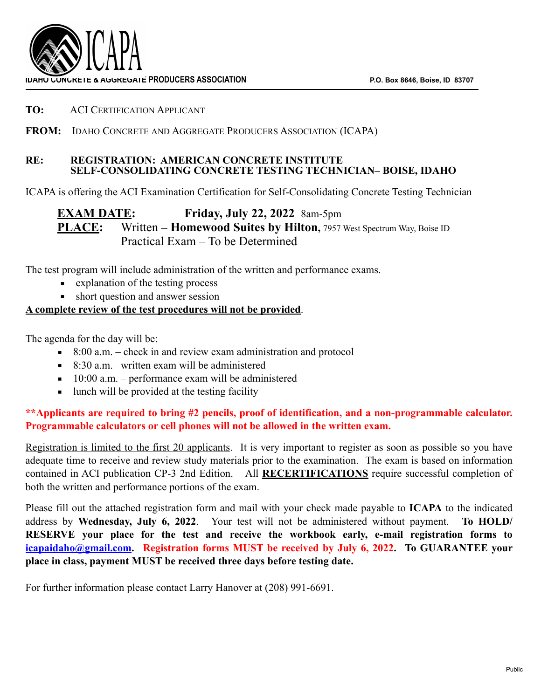

### **TO:** ACI CERTIFICATION APPLICANT

## **FROM:** IDAHO CONCRETE AND AGGREGATE PRODUCERS ASSOCIATION (ICAPA)

### **RE: REGISTRATION: AMERICAN CONCRETE INSTITUTE SELF-CONSOLIDATING CONCRETE TESTING TECHNICIAN– BOISE, IDAHO**

ICAPA is offering the ACI Examination Certification for Self-Consolidating Concrete Testing Technician

**EXAM DATE: Friday, July 22, 2022** 8am-5pm **PLACE:** Written – **Homewood Suites by Hilton**, 7957 West Spectrum Way, Boise ID Practical Exam – To be Determined

The test program will include administration of the written and performance exams.

- explanation of the testing process
- short question and answer session

## **A complete review of the test procedures will not be provided**.

The agenda for the day will be:

- $\approx$  8:00 a.m. check in and review exam administration and protocol
- $\blacksquare$  8:30 a.m. –written exam will be administered
- $\blacksquare$  10:00 a.m. performance exam will be administered
- **I** lunch will be provided at the testing facility

## **\*\*Applicants are required to bring #2 pencils, proof of identification, and a non-programmable calculator. Programmable calculators or cell phones will not be allowed in the written exam.**

Registration is limited to the first 20 applicants. It is very important to register as soon as possible so you have adequate time to receive and review study materials prior to the examination. The exam is based on information contained in ACI publication CP-3 2nd Edition. All **RECERTIFICATIONS** require successful completion of both the written and performance portions of the exam.

Please fill out the attached registration form and mail with your check made payable to **ICAPA** to the indicated address by **Wednesday, July 6, 2022**. Your test will not be administered without payment. **To HOLD/ RESERVE your place for the test and receive the workbook early, e-mail registration forms to [icapaidaho@gmail.com.](mailto:icapaidaho@gmail.com) Registration forms MUST be received by July 6, 2022. To GUARANTEE your place in class, payment MUST be received three days before testing date.** 

For further information please contact Larry Hanover at (208) 991-6691.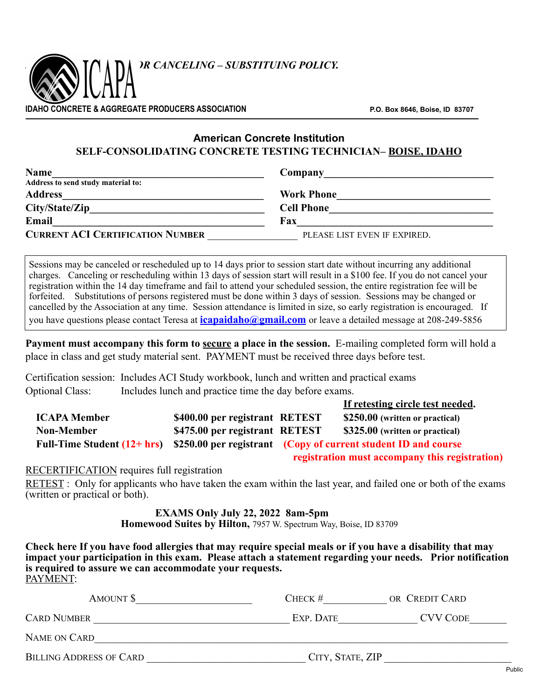

# **American Concrete Institution SELF-CONSOLIDATING CONCRETE TESTING TECHNICIAN– BOISE, IDAHO**

| <b>Name</b>                             | Company                      |  |  |
|-----------------------------------------|------------------------------|--|--|
| Address to send study material to:      |                              |  |  |
| <b>Address</b>                          | <b>Work Phone</b>            |  |  |
| City/State/Zip                          | <b>Cell Phone</b>            |  |  |
| Email                                   | Fax                          |  |  |
| <b>CURRENT ACI CERTIFICATION NUMBER</b> | PLEASE LIST EVEN IF EXPIRED. |  |  |

Sessions may be canceled or rescheduled up to 14 days prior to session start date without incurring any additional charges. Canceling or rescheduling within 13 days of session start will result in a \$100 fee. If you do not cancel your registration within the 14 day timeframe and fail to attend your scheduled session, the entire registration fee will be forfeited. Substitutions of persons registered must be done within 3 days of session. Sessions may be changed or cancelled by the Association at any time. Session attendance is limited in size, so early registration is encouraged. If you have questions please contact Teresa at **[icapaidaho@gmail.com](mailto:icapaidaho@gmail.com)** or leave a detailed message at 208-249-5856

**Payment must accompany this form to <u>secure</u> a place in the session.** E-mailing completed form will hold a place in class and get study material sent. PAYMENT must be received three days before test.

Certification session: Includes ACI Study workbook, lunch and written and practical exams Optional Class: Includes lunch and practice time the day before exams.

|                     |                                |                                                                                              | If retesting circle test needed.               |
|---------------------|--------------------------------|----------------------------------------------------------------------------------------------|------------------------------------------------|
| <b>ICAPA Member</b> | \$400.00 per registrant RETEST |                                                                                              | \$250.00 (written or practical)                |
| <b>Non-Member</b>   | \$475.00 per registrant RETEST |                                                                                              | \$325.00 (written or practical)                |
|                     |                                | Full-Time Student $(12 + hr)$ \$250.00 per registrant (Copy of current student ID and course |                                                |
|                     |                                |                                                                                              | registration must accompany this registration) |

### RECERTIFICATION requires full registration

RETEST : Only for applicants who have taken the exam within the last year, and failed one or both of the exams (written or practical or both).

> **EXAMS Only July 22, 2022 8am-5pm Homewood Suites by Hilton,** 7957 W. Spectrum Way, Boise, ID 83709

**Check here If you have food allergies that may require special meals or if you have a disability that may impact your participation in this exam. Please attach a statement regarding your needs. Prior notification is required to assure we can accommodate your requests.**  PAYMENT:

| AMOUNT \$                      | CHECK $#$        | OR CREDIT CARD  |
|--------------------------------|------------------|-----------------|
| <b>CARD NUMBER</b>             | EXP. DATE        | <b>CVV CODE</b> |
| NAME ON CARD                   |                  |                 |
| <b>BILLING ADDRESS OF CARD</b> | CITY, STATE, ZIP |                 |